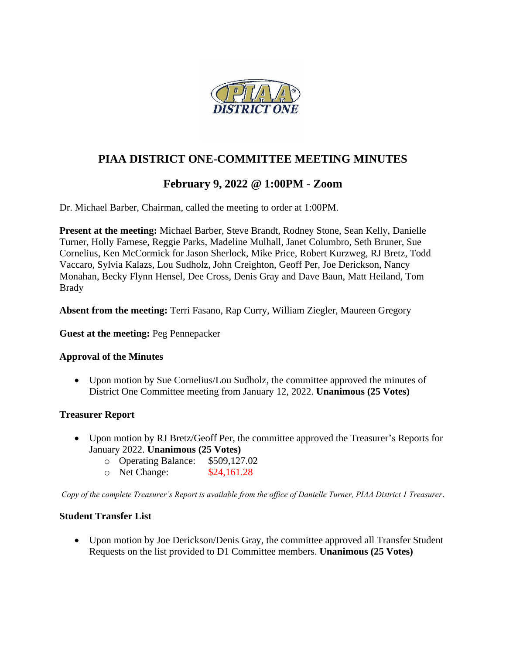

## **PIAA DISTRICT ONE-COMMITTEE MEETING MINUTES**

# **February 9, 2022 @ 1:00PM - Zoom**

Dr. Michael Barber, Chairman, called the meeting to order at 1:00PM.

**Present at the meeting:** Michael Barber, Steve Brandt, Rodney Stone, Sean Kelly, Danielle Turner, Holly Farnese, Reggie Parks, Madeline Mulhall, Janet Columbro, Seth Bruner, Sue Cornelius, Ken McCormick for Jason Sherlock, Mike Price, Robert Kurzweg, RJ Bretz, Todd Vaccaro, Sylvia Kalazs, Lou Sudholz, John Creighton, Geoff Per, Joe Derickson, Nancy Monahan, Becky Flynn Hensel, Dee Cross, Denis Gray and Dave Baun, Matt Heiland, Tom Brady

**Absent from the meeting:** Terri Fasano, Rap Curry, William Ziegler, Maureen Gregory

**Guest at the meeting:** Peg Pennepacker

#### **Approval of the Minutes**

• Upon motion by Sue Cornelius/Lou Sudholz, the committee approved the minutes of District One Committee meeting from January 12, 2022. **Unanimous (25 Votes)**

## **Treasurer Report**

- Upon motion by RJ Bretz/Geoff Per, the committee approved the Treasurer's Reports for January 2022. **Unanimous (25 Votes)**
	- o Operating Balance: \$509,127.02
	- o Net Change: \$24,161.28

*Copy of the complete Treasurer's Report is available from the office of Danielle Turner, PIAA District 1 Treasurer.* 

## **Student Transfer List**

• Upon motion by Joe Derickson/Denis Gray, the committee approved all Transfer Student Requests on the list provided to D1 Committee members. **Unanimous (25 Votes)**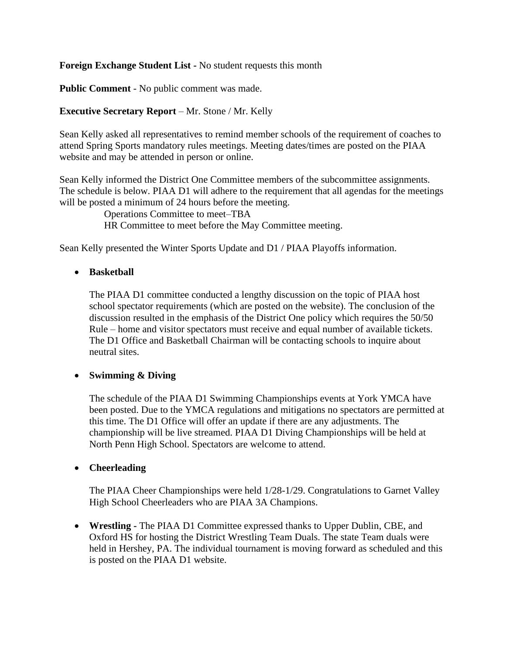## **Foreign Exchange Student List -** No student requests this month

**Public Comment** - No public comment was made.

## **Executive Secretary Report** – Mr. Stone / Mr. Kelly

Sean Kelly asked all representatives to remind member schools of the requirement of coaches to attend Spring Sports mandatory rules meetings. Meeting dates/times are posted on the PIAA website and may be attended in person or online.

Sean Kelly informed the District One Committee members of the subcommittee assignments. The schedule is below. PIAA D1 will adhere to the requirement that all agendas for the meetings will be posted a minimum of 24 hours before the meeting.

> Operations Committee to meet–TBA HR Committee to meet before the May Committee meeting.

Sean Kelly presented the Winter Sports Update and D1 / PIAA Playoffs information.

## • **Basketball**

The PIAA D1 committee conducted a lengthy discussion on the topic of PIAA host school spectator requirements (which are posted on the website). The conclusion of the discussion resulted in the emphasis of the District One policy which requires the 50/50 Rule – home and visitor spectators must receive and equal number of available tickets. The D1 Office and Basketball Chairman will be contacting schools to inquire about neutral sites.

#### • **Swimming & Diving**

The schedule of the PIAA D1 Swimming Championships events at York YMCA have been posted. Due to the YMCA regulations and mitigations no spectators are permitted at this time. The D1 Office will offer an update if there are any adjustments. The championship will be live streamed. PIAA D1 Diving Championships will be held at North Penn High School. Spectators are welcome to attend.

#### • **Cheerleading**

The PIAA Cheer Championships were held 1/28-1/29. Congratulations to Garnet Valley High School Cheerleaders who are PIAA 3A Champions.

• **Wrestling -** The PIAA D1 Committee expressed thanks to Upper Dublin, CBE, and Oxford HS for hosting the District Wrestling Team Duals. The state Team duals were held in Hershey, PA. The individual tournament is moving forward as scheduled and this is posted on the PIAA D1 website.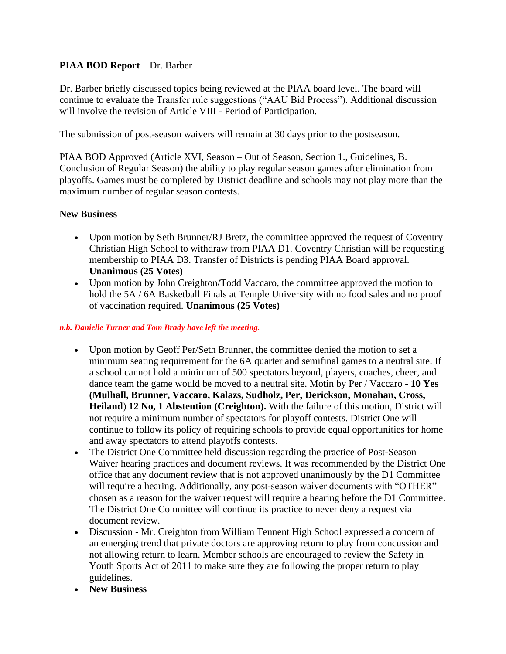## **PIAA BOD Report** – Dr. Barber

Dr. Barber briefly discussed topics being reviewed at the PIAA board level. The board will continue to evaluate the Transfer rule suggestions ("AAU Bid Process"). Additional discussion will involve the revision of Article VIII - Period of Participation.

The submission of post-season waivers will remain at 30 days prior to the postseason.

PIAA BOD Approved (Article XVI, Season – Out of Season, Section 1., Guidelines, B. Conclusion of Regular Season) the ability to play regular season games after elimination from playoffs. Games must be completed by District deadline and schools may not play more than the maximum number of regular season contests.

## **New Business**

- Upon motion by Seth Brunner/RJ Bretz, the committee approved the request of Coventry Christian High School to withdraw from PIAA D1. Coventry Christian will be requesting membership to PIAA D3. Transfer of Districts is pending PIAA Board approval. **Unanimous (25 Votes)**
- Upon motion by John Creighton/Todd Vaccaro, the committee approved the motion to hold the 5A / 6A Basketball Finals at Temple University with no food sales and no proof of vaccination required. **Unanimous (25 Votes)**

#### *n.b. Danielle Turner and Tom Brady have left the meeting.*

- Upon motion by Geoff Per/Seth Brunner, the committee denied the motion to set a minimum seating requirement for the 6A quarter and semifinal games to a neutral site. If a school cannot hold a minimum of 500 spectators beyond, players, coaches, cheer, and dance team the game would be moved to a neutral site. Motin by Per / Vaccaro - **10 Yes (Mulhall, Brunner, Vaccaro, Kalazs, Sudholz, Per, Derickson, Monahan, Cross, Heiland**) **12 No, 1 Abstention (Creighton).** With the failure of this motion, District will not require a minimum number of spectators for playoff contests. District One will continue to follow its policy of requiring schools to provide equal opportunities for home and away spectators to attend playoffs contests.
- The District One Committee held discussion regarding the practice of Post-Season Waiver hearing practices and document reviews. It was recommended by the District One office that any document review that is not approved unanimously by the D1 Committee will require a hearing. Additionally, any post-season waiver documents with "OTHER" chosen as a reason for the waiver request will require a hearing before the D1 Committee. The District One Committee will continue its practice to never deny a request via document review.
- Discussion Mr. Creighton from William Tennent High School expressed a concern of an emerging trend that private doctors are approving return to play from concussion and not allowing return to learn. Member schools are encouraged to review the Safety in Youth Sports Act of 2011 to make sure they are following the proper return to play guidelines.
- **New Business**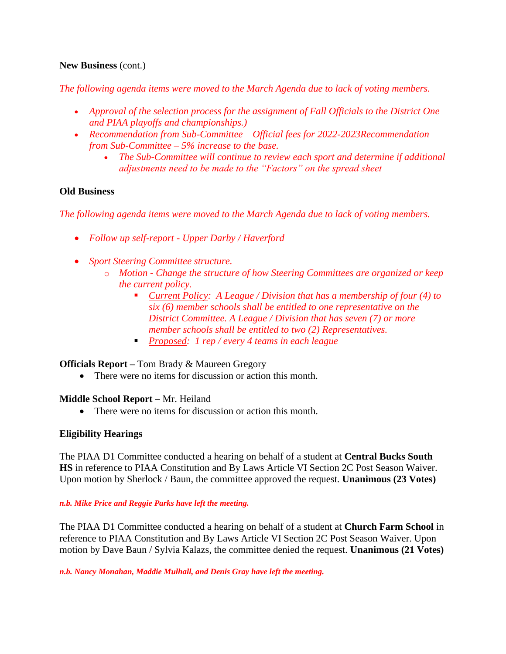## **New Business** (cont.)

*The following agenda items were moved to the March Agenda due to lack of voting members.* 

- *Approval of the selection process for the assignment of Fall Officials to the District One and PIAA playoffs and championships.)*
- *Recommendation from Sub-Committee – Official fees for 2022-2023Recommendation from Sub-Committee – 5% increase to the base.*
	- *The Sub-Committee will continue to review each sport and determine if additional adjustments need to be made to the "Factors" on the spread sheet*

## **Old Business**

*The following agenda items were moved to the March Agenda due to lack of voting members.*

- *Follow up self-report - Upper Darby / Haverford*
- *Sport Steering Committee structure.*
	- o *Motion - Change the structure of how Steering Committees are organized or keep the current policy.*
		- *Current Policy: A League / Division that has a membership of four (4) to six (6) member schools shall be entitled to one representative on the District Committee. A League / Division that has seven (7) or more member schools shall be entitled to two (2) Representatives.*
		- *Proposed: 1 rep / every 4 teams in each league*

#### **Officials Report –** Tom Brady & Maureen Gregory

• There were no items for discussion or action this month.

#### **Middle School Report –** Mr. Heiland

• There were no items for discussion or action this month.

#### **Eligibility Hearings**

The PIAA D1 Committee conducted a hearing on behalf of a student at **Central Bucks South HS** in reference to PIAA Constitution and By Laws Article VI Section 2C Post Season Waiver. Upon motion by Sherlock / Baun, the committee approved the request. **Unanimous (23 Votes)**

#### *n.b. Mike Price and Reggie Parks have left the meeting.*

The PIAA D1 Committee conducted a hearing on behalf of a student at **Church Farm School** in reference to PIAA Constitution and By Laws Article VI Section 2C Post Season Waiver. Upon motion by Dave Baun / Sylvia Kalazs, the committee denied the request. **Unanimous (21 Votes)**

*n.b. Nancy Monahan, Maddie Mulhall, and Denis Gray have left the meeting.*